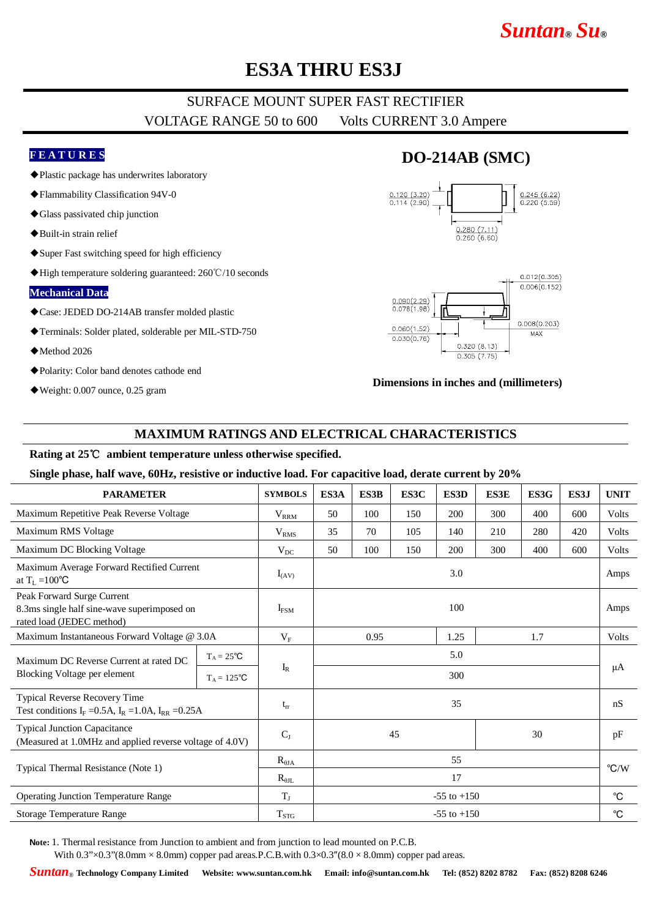# *Suntan***®** *Su***®**

# **ES3A THRU ES3J**

## SURFACE MOUNT SUPER FAST RECTIFIER VOLTAGE RANGE 50 to 600 Volts CURRENT 3.0 Ampere

#### **F E A T U R E S**

- ◆Plastic package has underwrites laboratory
- ◆Flammability Classification 94V-0
- ◆Glass passivated chip junction
- ◆Built-in strain relief
- ◆Super Fast switching speed for high efficiency
- ◆High temperature soldering guaranteed: 260℃/10 seconds

#### **Mechanical Data**

- ◆Case: JEDED DO-214AB transfer molded plastic
- ◆Terminals: Solder plated, solderable per MIL-STD-750
- ◆Method 2026
- ◆Polarity: Color band denotes cathode end
- ◆Weight: 0.007 ounce, 0.25 gram

### **DO-214AB (SMC)**





#### **Dimensions in inches and (millimeters)**

### **MAXIMUM RATINGS AND ELECTRICAL CHARACTERISTICS**

### **Rating at 25**℃ **ambient temperature unless otherwise specified.**

#### **Single phase, half wave, 60Hz, resistive or inductive load. For capacitive load, derate current by 20%**

| <b>PARAMETER</b>                                                                                                    |                     | <b>SYMBOLS</b>   | ES3A                | ES3B | ES3C | ES3D | <b>ES3E</b> | ES3G | ES3J        | <b>UNIT</b>    |
|---------------------------------------------------------------------------------------------------------------------|---------------------|------------------|---------------------|------|------|------|-------------|------|-------------|----------------|
| Maximum Repetitive Peak Reverse Voltage                                                                             |                     | $V_{\rm RRM}$    | 50                  | 100  | 150  | 200  | 300         | 400  | 600         | Volts          |
| Maximum RMS Voltage                                                                                                 |                     | V <sub>RMS</sub> | 35                  | 70   | 105  | 140  | 210         | 280  | 420         | Volts          |
| Maximum DC Blocking Voltage                                                                                         |                     | $V_{DC}$         | 50                  | 100  | 150  | 200  | 300         | 400  | 600         | Volts          |
| Maximum Average Forward Rectified Current<br>at $T_L = 100^{\circ}C$                                                |                     | $I_{(AV)}$       | 3.0                 |      |      |      |             |      |             | Amps           |
| Peak Forward Surge Current<br>8.3ms single half sine-wave superimposed on<br>rated load (JEDEC method)              |                     | $I_{FSM}$        | 100                 |      |      |      |             |      | Amps        |                |
| Maximum Instantaneous Forward Voltage @ 3.0A                                                                        |                     | $V_{\rm F}$      | 0.95<br>1.25<br>1.7 |      |      |      | Volts       |      |             |                |
| Maximum DC Reverse Current at rated DC<br>Blocking Voltage per element                                              | $T_A = 25^{\circ}C$ |                  | 5.0                 |      |      |      |             |      |             | μA             |
|                                                                                                                     | $T_A = 125$ °C      | $I_R$            | 300                 |      |      |      |             |      |             |                |
| Typical Reverse Recovery Time<br>Test conditions I <sub>F</sub> =0.5A, I <sub>R</sub> =1.0A, I <sub>RR</sub> =0.25A |                     | $t_{rr}$         | 35                  |      |      |      |             |      | nS          |                |
| <b>Typical Junction Capacitance</b><br>(Measured at 1.0MHz and applied reverse voltage of 4.0V)                     |                     | $C_{J}$          | 45<br>30            |      |      |      | pF          |      |             |                |
| Typical Thermal Resistance (Note 1)                                                                                 |                     | $R_{\theta JA}$  | 55                  |      |      |      |             |      |             | $\mathrm{C/W}$ |
|                                                                                                                     |                     | $R_{\theta IL}$  | 17                  |      |      |      |             |      |             |                |
| <b>Operating Junction Temperature Range</b>                                                                         |                     | $T_{J}$          | $-55$ to $+150$     |      |      |      |             |      | $^{\circ}C$ |                |
| Storage Temperature Range                                                                                           |                     | $T_{STG}$        | $-55$ to $+150$     |      |      |      |             |      | $^{\circ}C$ |                |

**Note:** 1. Thermal resistance from Junction to ambient and from junction to lead mounted on P.C.B.

With  $0.3$ " $\times$ 0.3" $(8.0$ mm  $\times$  8.0mm) copper pad areas. P.C.B.with  $0.3 \times 0.3$ " $(8.0 \times 8.0$ mm) copper pad areas.